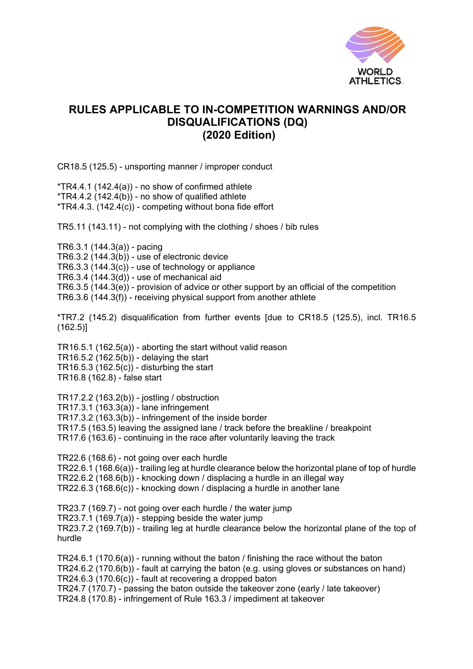

## **RULES APPLICABLE TO IN-COMPETITION WARNINGS AND/OR DISQUALIFICATIONS (DQ) (2020 Edition)**

CR18.5 (125.5) - unsporting manner / improper conduct

 $*TR4.4.1$  (142.4(a)) - no show of confirmed athlete  $*TR4.4.2$   $(142.4(b))$  - no show of qualified athlete  $*TR4.4.3.$  (142.4(c)) - competing without bona fide effort

TR5.11 (143.11) - not complying with the clothing / shoes / bib rules

TR6.3.1 (144.3(a)) - pacing TR6.3.2 (144.3(b)) - use of electronic device  $TR6.3.3(144.3(c))$  - use of technology or appliance TR6.3.4 (144.3(d)) - use of mechanical aid TR6.3.5 (144.3(e)) - provision of advice or other support by an official of the competition TR6.3.6 (144.3(f)) - receiving physical support from another athlete

\*TR7.2 (145.2) disqualification from further events [due to CR18.5 (125.5), incl. TR16.5 (162.5)]

TR16.5.1 (162.5(a)) - aborting the start without valid reason TR16.5.2  $(162.5(b))$  - delaying the start TR16.5.3 (162.5 $(c)$ ) - disturbing the start TR16.8 (162.8) - false start

TR17.2.2 (163.2(b)) - jostling / obstruction TR17.3.1 (163.3(a)) - lane infringement TR17.3.2 (163.3(b)) - infringement of the inside border TR17.5 (163.5) leaving the assigned lane / track before the breakline / breakpoint TR17.6 (163.6) - continuing in the race after voluntarily leaving the track

TR22.6 (168.6) - not going over each hurdle TR22.6.1 (168.6(a)) - trailing leg at hurdle clearance below the horizontal plane of top of hurdle TR22.6.2 (168.6(b)) - knocking down / displacing a hurdle in an illegal way TR22.6.3 (168.6(c)) - knocking down / displacing a hurdle in another lane

TR23.7 (169.7) - not going over each hurdle / the water jump TR23.7.1 (169.7(a)) - stepping beside the water jump TR23.7.2 (169.7(b)) - trailing leg at hurdle clearance below the horizontal plane of the top of hurdle

TR24.6.1 (170.6(a)) - running without the baton / finishing the race without the baton TR24.6.2 (170.6(b)) - fault at carrying the baton (e.g. using gloves or substances on hand) TR24.6.3 (170.6(c)) - fault at recovering a dropped baton TR24.7 (170.7) - passing the baton outside the takeover zone (early / late takeover) TR24.8 (170.8) - infringement of Rule 163.3 / impediment at takeover